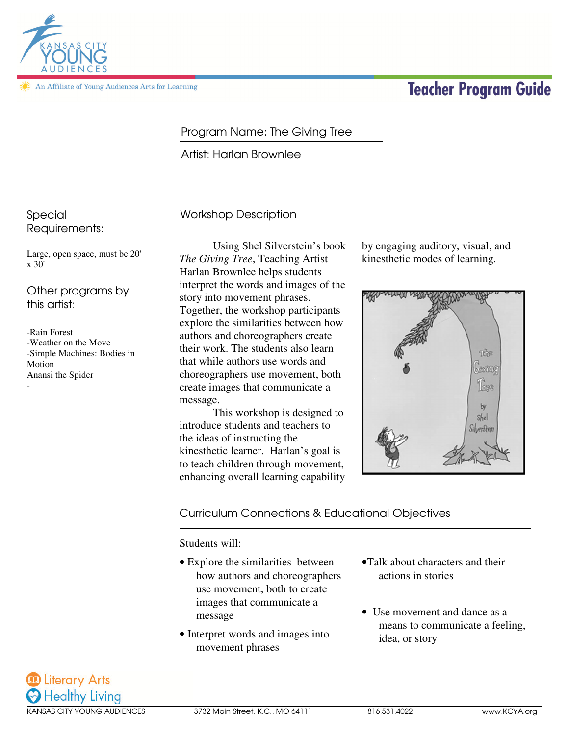

An Affiliate of Young Audiences Arts for Learning

# **Teacher Program Guide**

# Program Name: The Giving Tree

Artist: Harlan Brownlee

Special Requirements:

Large, open space, must be 20' x 30'

Other programs by this artist:

-Rain Forest -Weather on the Move -Simple Machines: Bodies in Motion Anansi the Spider

-

# Workshop Description

Using Shel Silverstein's book *The Giving Tree*, Teaching Artist Harlan Brownlee helps students interpret the words and images of the story into movement phrases. Together, the workshop participants explore the similarities between how authors and choreographers create their work. The students also learn that while authors use words and choreographers use movement, both create images that communicate a message.

 This workshop is designed to introduce students and teachers to the ideas of instructing the kinesthetic learner. Harlan's goal is to teach children through movement, enhancing overall learning capability by engaging auditory, visual, and kinesthetic modes of learning.



### Curriculum Connections & Educational Objectives

Students will:

- Explore the similarities between how authors and choreographers use movement, both to create images that communicate a message
- Interpret words and images into movement phrases
- •Talk about characters and their actions in stories
- Use movement and dance as a means to communicate a feeling, idea, or story